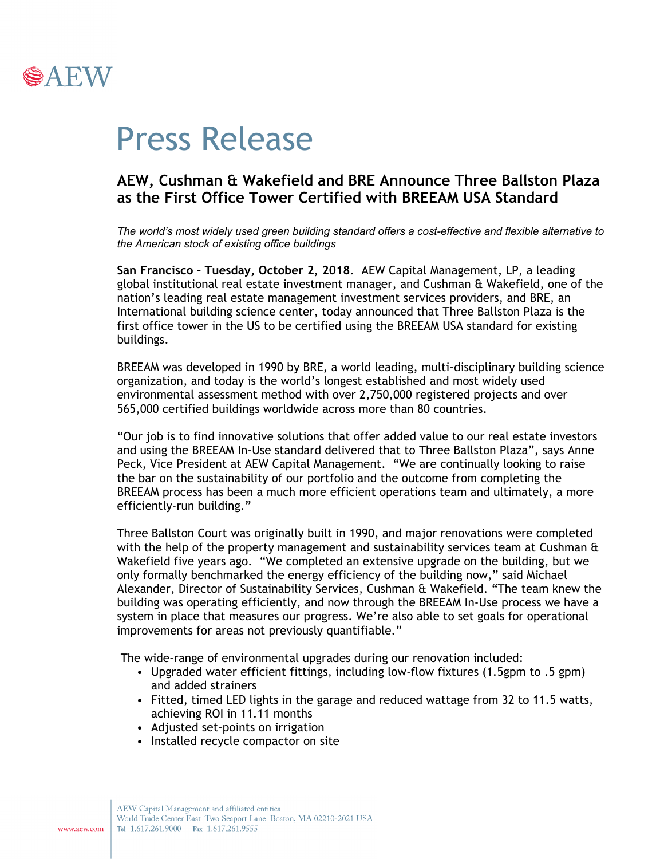

# Press Release

## **AEW, Cushman & Wakefield and BRE Announce Three Ballston Plaza as the First Office Tower Certified with BREEAM USA Standard**

*The world's most widely used green building standard offers a cost-effective and flexible alternative to the American stock of existing office buildings*

**San Francisco – Tuesday, October 2, 2018**. AEW Capital Management, LP, a leading global institutional real estate investment manager, and Cushman & Wakefield, one of the nation's leading real estate management investment services providers, and BRE, an International building science center, today announced that Three Ballston Plaza is the first office tower in the US to be certified using the BREEAM USA standard for existing buildings.

BREEAM was developed in 1990 by BRE, a world leading, multi-disciplinary building science organization, and today is the world's longest established and most widely used environmental assessment method with over 2,750,000 registered projects and over 565,000 certified buildings worldwide across more than 80 countries.

"Our job is to find innovative solutions that offer added value to our real estate investors and using the BREEAM In-Use standard delivered that to Three Ballston Plaza", says Anne Peck, Vice President at AEW Capital Management. "We are continually looking to raise the bar on the sustainability of our portfolio and the outcome from completing the BREEAM process has been a much more efficient operations team and ultimately, a more efficiently-run building."

Three Ballston Court was originally built in 1990, and major renovations were completed with the help of the property management and sustainability services team at Cushman & Wakefield five years ago. "We completed an extensive upgrade on the building, but we only formally benchmarked the energy efficiency of the building now," said Michael Alexander, Director of Sustainability Services, Cushman & Wakefield. "The team knew the building was operating efficiently, and now through the BREEAM In-Use process we have a system in place that measures our progress. We're also able to set goals for operational improvements for areas not previously quantifiable."

The wide-range of environmental upgrades during our renovation included:

- Upgraded water efficient fittings, including low-flow fixtures (1.5gpm to .5 gpm) and added strainers
- Fitted, timed LED lights in the garage and reduced wattage from 32 to 11.5 watts, achieving ROI in 11.11 months
- Adjusted set-points on irrigation
- Installed recycle compactor on site